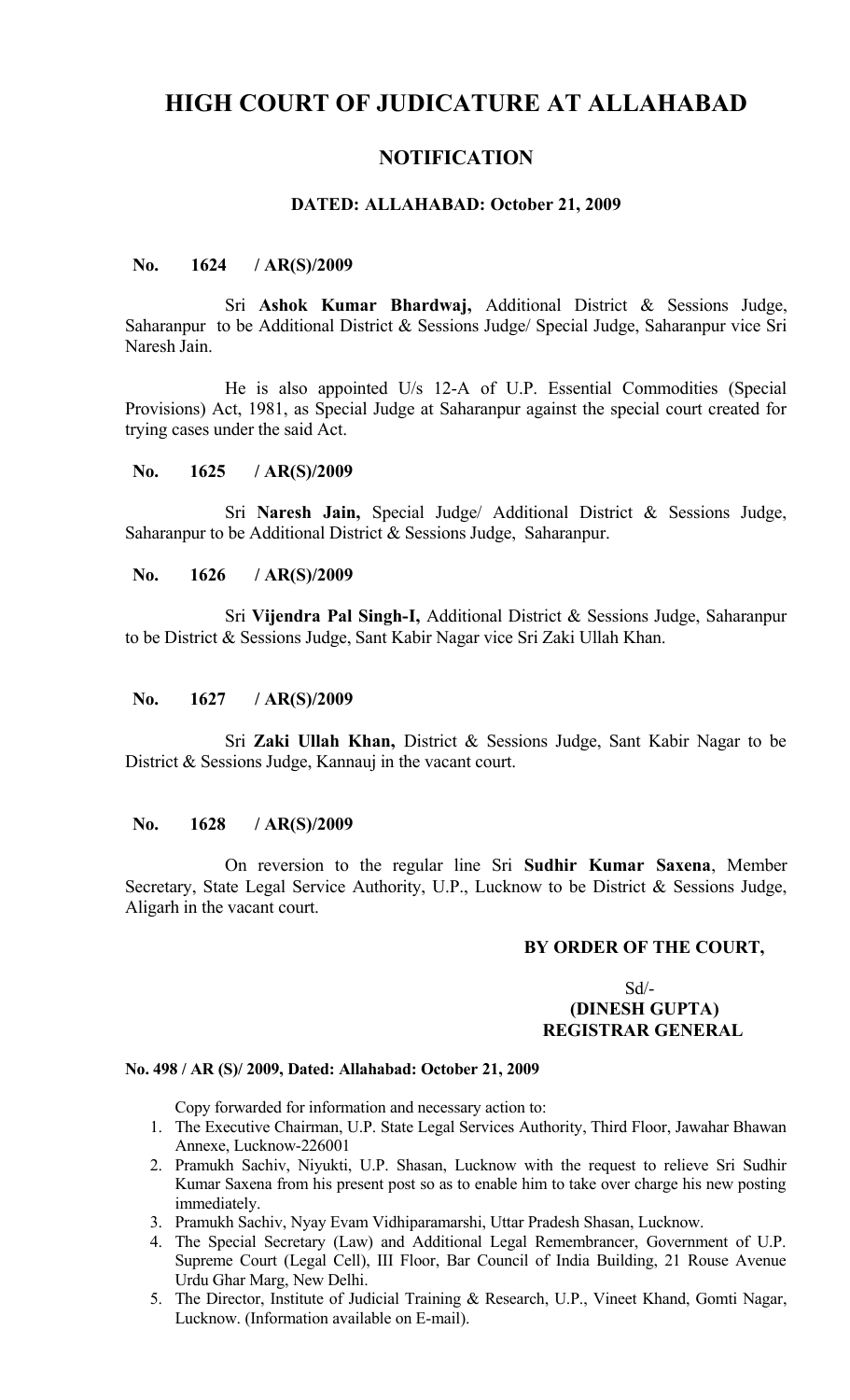# **HIGH COURT OF JUDICATURE AT ALLAHABAD**

# **NOTIFICATION**

#### **DATED: ALLAHABAD: October 21, 2009**

#### **No. 1624 / AR(S)/2009**

Sri **Ashok Kumar Bhardwaj,** Additional District & Sessions Judge, Saharanpur to be Additional District & Sessions Judge/ Special Judge, Saharanpur vice Sri Naresh Jain.

He is also appointed U/s 12-A of U.P. Essential Commodities (Special Provisions) Act, 1981, as Special Judge at Saharanpur against the special court created for trying cases under the said Act.

#### **No. 1625 / AR(S)/2009**

Sri **Naresh Jain,** Special Judge/ Additional District & Sessions Judge, Saharanpur to be Additional District & Sessions Judge, Saharanpur.

## **No. 1626 / AR(S)/2009**

Sri **Vijendra Pal Singh-I,** Additional District & Sessions Judge, Saharanpur to be District & Sessions Judge, Sant Kabir Nagar vice Sri Zaki Ullah Khan.

#### **No. 1627 / AR(S)/2009**

Sri **Zaki Ullah Khan,** District & Sessions Judge, Sant Kabir Nagar to be District & Sessions Judge, Kannauj in the vacant court.

#### **No. 1628 / AR(S)/2009**

On reversion to the regular line Sri **Sudhir Kumar Saxena**, Member Secretary, State Legal Service Authority, U.P., Lucknow to be District & Sessions Judge, Aligarh in the vacant court.

#### **BY ORDER OF THE COURT,**

#### Sd/-  **(DINESH GUPTA) REGISTRAR GENERAL**

#### **No. 498 / AR (S)/ 2009, Dated: Allahabad: October 21, 2009**

Copy forwarded for information and necessary action to:

- 1. The Executive Chairman, U.P. State Legal Services Authority, Third Floor, Jawahar Bhawan Annexe, Lucknow-226001
- 2. Pramukh Sachiv, Niyukti, U.P. Shasan, Lucknow with the request to relieve Sri Sudhir Kumar Saxena from his present post so as to enable him to take over charge his new posting immediately.
- 3. Pramukh Sachiv, Nyay Evam Vidhiparamarshi, Uttar Pradesh Shasan, Lucknow.
- 4. The Special Secretary (Law) and Additional Legal Remembrancer, Government of U.P. Supreme Court (Legal Cell), III Floor, Bar Council of India Building, 21 Rouse Avenue Urdu Ghar Marg, New Delhi.
- 5. The Director, Institute of Judicial Training & Research, U.P., Vineet Khand, Gomti Nagar, Lucknow. (Information available on E-mail).